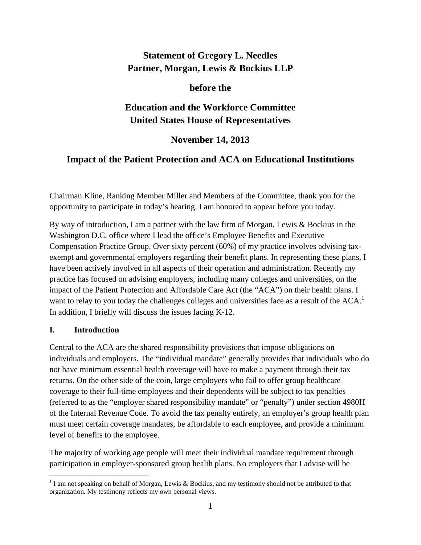# **Statement of Gregory L. Needles Partner, Morgan, Lewis & Bockius LLP**

## **before the**

# **Education and the Workforce Committee United States House of Representatives**

## **November 14, 2013**

## **Impact of the Patient Protection and ACA on Educational Institutions**

Chairman Kline, Ranking Member Miller and Members of the Committee, thank you for the opportunity to participate in today's hearing. I am honored to appear before you today.

By way of introduction, I am a partner with the law firm of Morgan, Lewis & Bockius in the Washington D.C. office where I lead the office's Employee Benefits and Executive Compensation Practice Group. Over sixty percent (60%) of my practice involves advising taxexempt and governmental employers regarding their benefit plans. In representing these plans, I have been actively involved in all aspects of their operation and administration. Recently my practice has focused on advising employers, including many colleges and universities, on the impact of the Patient Protection and Affordable Care Act (the "ACA") on their health plans. I want to relay to you today the challenges colleges and universities face as a result of the ACA.<sup>1</sup> In addition, I briefly will discuss the issues facing K-12.

#### **I. Introduction**

Central to the ACA are the shared responsibility provisions that impose obligations on individuals and employers. The "individual mandate" generally provides that individuals who do not have minimum essential health coverage will have to make a payment through their tax returns. On the other side of the coin, large employers who fail to offer group healthcare coverage to their full-time employees and their dependents will be subject to tax penalties (referred to as the "employer shared responsibility mandate" or "penalty") under section 4980H of the Internal Revenue Code. To avoid the tax penalty entirely, an employer's group health plan must meet certain coverage mandates, be affordable to each employee, and provide a minimum level of benefits to the employee.

The majority of working age people will meet their individual mandate requirement through participation in employer-sponsored group health plans. No employers that I advise will be

<sup>&</sup>lt;sup>1</sup> I am not speaking on behalf of Morgan, Lewis & Bockius, and my testimony should not be attributed to that organization. My testimony reflects my own personal views.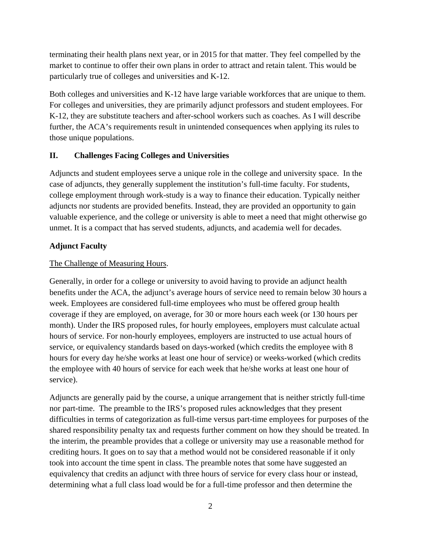terminating their health plans next year, or in 2015 for that matter. They feel compelled by the market to continue to offer their own plans in order to attract and retain talent. This would be particularly true of colleges and universities and K-12.

Both colleges and universities and K-12 have large variable workforces that are unique to them. For colleges and universities, they are primarily adjunct professors and student employees. For K-12, they are substitute teachers and after-school workers such as coaches. As I will describe further, the ACA's requirements result in unintended consequences when applying its rules to those unique populations.

#### **II. Challenges Facing Colleges and Universities**

Adjuncts and student employees serve a unique role in the college and university space. In the case of adjuncts, they generally supplement the institution's full-time faculty. For students, college employment through work-study is a way to finance their education. Typically neither adjuncts nor students are provided benefits. Instead, they are provided an opportunity to gain valuable experience, and the college or university is able to meet a need that might otherwise go unmet. It is a compact that has served students, adjuncts, and academia well for decades.

#### **Adjunct Faculty**

#### The Challenge of Measuring Hours.

Generally, in order for a college or university to avoid having to provide an adjunct health benefits under the ACA, the adjunct's average hours of service need to remain below 30 hours a week. Employees are considered full-time employees who must be offered group health coverage if they are employed, on average, for 30 or more hours each week (or 130 hours per month). Under the IRS proposed rules, for hourly employees, employers must calculate actual hours of service. For non-hourly employees, employers are instructed to use actual hours of service, or equivalency standards based on days-worked (which credits the employee with 8 hours for every day he/she works at least one hour of service) or weeks-worked (which credits the employee with 40 hours of service for each week that he/she works at least one hour of service).

Adjuncts are generally paid by the course, a unique arrangement that is neither strictly full-time nor part-time. The preamble to the IRS's proposed rules acknowledges that they present difficulties in terms of categorization as full-time versus part-time employees for purposes of the shared responsibility penalty tax and requests further comment on how they should be treated. In the interim, the preamble provides that a college or university may use a reasonable method for crediting hours. It goes on to say that a method would not be considered reasonable if it only took into account the time spent in class. The preamble notes that some have suggested an equivalency that credits an adjunct with three hours of service for every class hour or instead, determining what a full class load would be for a full-time professor and then determine the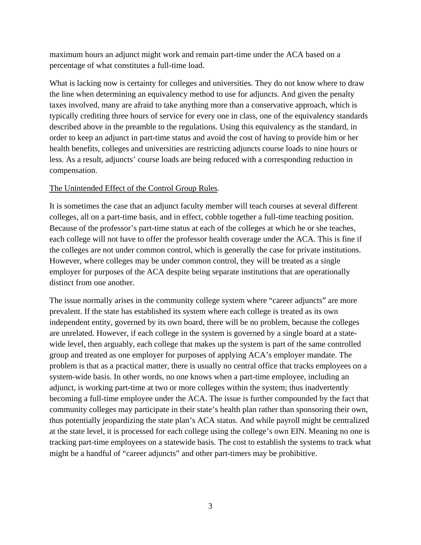maximum hours an adjunct might work and remain part-time under the ACA based on a percentage of what constitutes a full-time load.

What is lacking now is certainty for colleges and universities. They do not know where to draw the line when determining an equivalency method to use for adjuncts. And given the penalty taxes involved, many are afraid to take anything more than a conservative approach, which is typically crediting three hours of service for every one in class, one of the equivalency standards described above in the preamble to the regulations. Using this equivalency as the standard, in order to keep an adjunct in part-time status and avoid the cost of having to provide him or her health benefits, colleges and universities are restricting adjuncts course loads to nine hours or less. As a result, adjuncts' course loads are being reduced with a corresponding reduction in compensation.

#### The Unintended Effect of the Control Group Rules.

It is sometimes the case that an adjunct faculty member will teach courses at several different colleges, all on a part-time basis, and in effect, cobble together a full-time teaching position. Because of the professor's part-time status at each of the colleges at which he or she teaches, each college will not have to offer the professor health coverage under the ACA. This is fine if the colleges are not under common control, which is generally the case for private institutions. However, where colleges may be under common control, they will be treated as a single employer for purposes of the ACA despite being separate institutions that are operationally distinct from one another.

The issue normally arises in the community college system where "career adjuncts" are more prevalent. If the state has established its system where each college is treated as its own independent entity, governed by its own board, there will be no problem, because the colleges are unrelated. However, if each college in the system is governed by a single board at a statewide level, then arguably, each college that makes up the system is part of the same controlled group and treated as one employer for purposes of applying ACA's employer mandate. The problem is that as a practical matter, there is usually no central office that tracks employees on a system-wide basis. In other words, no one knows when a part-time employee, including an adjunct, is working part-time at two or more colleges within the system; thus inadvertently becoming a full-time employee under the ACA. The issue is further compounded by the fact that community colleges may participate in their state's health plan rather than sponsoring their own, thus potentially jeopardizing the state plan's ACA status. And while payroll might be centralized at the state level, it is processed for each college using the college's own EIN. Meaning no one is tracking part-time employees on a statewide basis. The cost to establish the systems to track what might be a handful of "career adjuncts" and other part-timers may be prohibitive.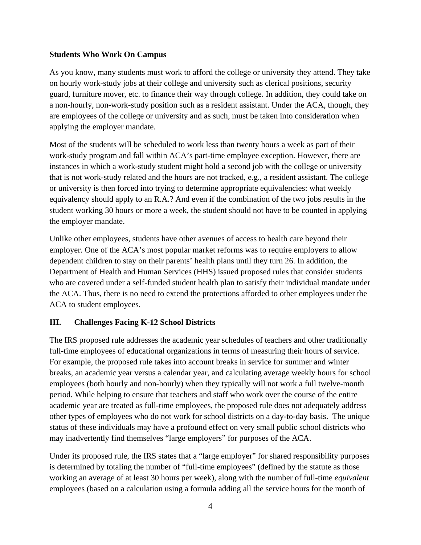#### **Students Who Work On Campus**

As you know, many students must work to afford the college or university they attend. They take on hourly work-study jobs at their college and university such as clerical positions, security guard, furniture mover, etc. to finance their way through college. In addition, they could take on a non-hourly, non-work-study position such as a resident assistant. Under the ACA, though, they are employees of the college or university and as such, must be taken into consideration when applying the employer mandate.

Most of the students will be scheduled to work less than twenty hours a week as part of their work-study program and fall within ACA's part-time employee exception. However, there are instances in which a work-study student might hold a second job with the college or university that is not work-study related and the hours are not tracked, e.g., a resident assistant. The college or university is then forced into trying to determine appropriate equivalencies: what weekly equivalency should apply to an R.A.? And even if the combination of the two jobs results in the student working 30 hours or more a week, the student should not have to be counted in applying the employer mandate.

Unlike other employees, students have other avenues of access to health care beyond their employer. One of the ACA's most popular market reforms was to require employers to allow dependent children to stay on their parents' health plans until they turn 26. In addition, the Department of Health and Human Services (HHS) issued proposed rules that consider students who are covered under a self-funded student health plan to satisfy their individual mandate under the ACA. Thus, there is no need to extend the protections afforded to other employees under the ACA to student employees.

#### **III. Challenges Facing K-12 School Districts**

The IRS proposed rule addresses the academic year schedules of teachers and other traditionally full-time employees of educational organizations in terms of measuring their hours of service. For example, the proposed rule takes into account breaks in service for summer and winter breaks, an academic year versus a calendar year, and calculating average weekly hours for school employees (both hourly and non-hourly) when they typically will not work a full twelve-month period. While helping to ensure that teachers and staff who work over the course of the entire academic year are treated as full-time employees, the proposed rule does not adequately address other types of employees who do not work for school districts on a day-to-day basis. The unique status of these individuals may have a profound effect on very small public school districts who may inadvertently find themselves "large employers" for purposes of the ACA.

Under its proposed rule, the IRS states that a "large employer" for shared responsibility purposes is determined by totaling the number of "full-time employees" (defined by the statute as those working an average of at least 30 hours per week), along with the number of full-time *equivalent* employees (based on a calculation using a formula adding all the service hours for the month of